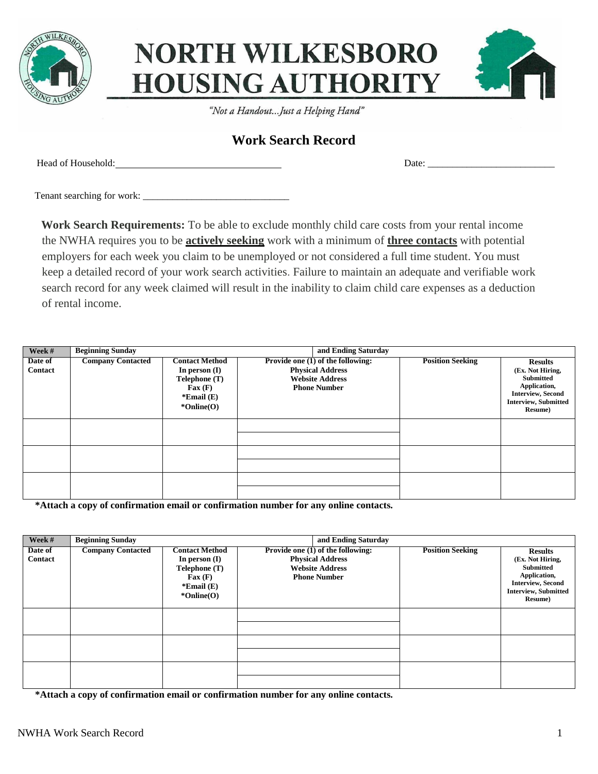

## **NORTH WILKESBORO HOUSING AUTHORITY**



"Not a Handout...Just a Helping Hand"

## **Work Search Record**

Head of Household: Date:  $\Box$ 

Tenant searching for work: \_\_\_\_\_\_\_\_\_\_\_\_\_\_\_\_\_\_\_\_\_\_\_\_\_\_\_\_\_\_

**Work Search Requirements:** To be able to exclude monthly child care costs from your rental income the NWHA requires you to be **actively seeking** work with a minimum of **three contacts** with potential employers for each week you claim to be unemployed or not considered a full time student. You must keep a detailed record of your work search activities. Failure to maintain an adequate and verifiable work search record for any week claimed will result in the inability to claim child care expenses as a deduction of rental income.

| Week #             | <b>Beginning Sunday</b><br>and Ending Saturday |                                                                                                                       |                                                                                                               |                         |                                                                                                                                       |
|--------------------|------------------------------------------------|-----------------------------------------------------------------------------------------------------------------------|---------------------------------------------------------------------------------------------------------------|-------------------------|---------------------------------------------------------------------------------------------------------------------------------------|
| Date of<br>Contact | <b>Company Contacted</b>                       | <b>Contact Method</b><br>In person $(I)$<br>Telephone (T)<br>$\text{Fax}(\textbf{F})$<br>*Email $(E)$<br>$*Online(O)$ | Provide one (1) of the following:<br><b>Physical Address</b><br><b>Website Address</b><br><b>Phone Number</b> | <b>Position Seeking</b> | <b>Results</b><br>(Ex. Not Hiring,<br>Submitted<br>Application,<br><b>Interview, Second</b><br><b>Interview, Submitted</b><br>Resume) |
|                    |                                                |                                                                                                                       |                                                                                                               |                         |                                                                                                                                       |
|                    |                                                |                                                                                                                       |                                                                                                               |                         |                                                                                                                                       |
|                    |                                                |                                                                                                                       |                                                                                                               |                         |                                                                                                                                       |

**\*Attach a copy of confirmation email or confirmation number for any online contacts.**

| Week #             | <b>Beginning Sunday</b>  |                                                                                                                     |                                                                                                               | and Ending Saturday     |                                                                                                                                              |  |
|--------------------|--------------------------|---------------------------------------------------------------------------------------------------------------------|---------------------------------------------------------------------------------------------------------------|-------------------------|----------------------------------------------------------------------------------------------------------------------------------------------|--|
| Date of<br>Contact | <b>Company Contacted</b> | <b>Contact Method</b><br>In person $(I)$<br>Telephone (T)<br>$\text{Fax}(\text{F})$<br>*Email $(E)$<br>$*Online(O)$ | Provide one (1) of the following:<br><b>Physical Address</b><br><b>Website Address</b><br><b>Phone Number</b> | <b>Position Seeking</b> | <b>Results</b><br>(Ex. Not Hiring,<br><b>Submitted</b><br>Application,<br><b>Interview, Second</b><br><b>Interview, Submitted</b><br>Resume) |  |
|                    |                          |                                                                                                                     |                                                                                                               |                         |                                                                                                                                              |  |
|                    |                          |                                                                                                                     |                                                                                                               |                         |                                                                                                                                              |  |
|                    |                          |                                                                                                                     |                                                                                                               |                         |                                                                                                                                              |  |

**\*Attach a copy of confirmation email or confirmation number for any online contacts.**